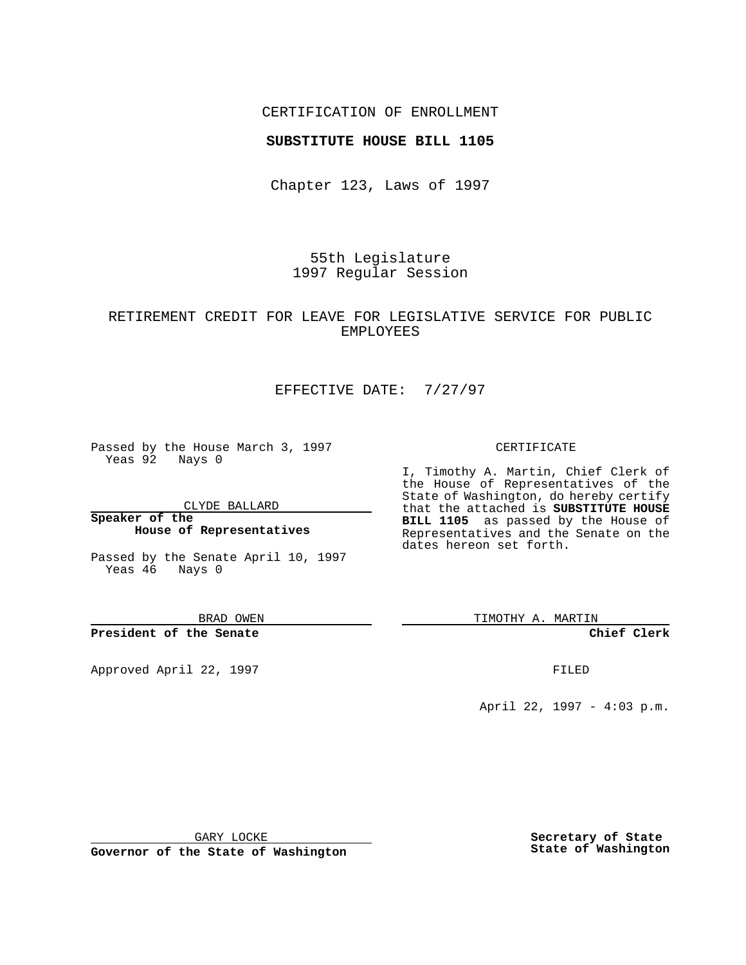## CERTIFICATION OF ENROLLMENT

### **SUBSTITUTE HOUSE BILL 1105**

Chapter 123, Laws of 1997

55th Legislature 1997 Regular Session

## RETIREMENT CREDIT FOR LEAVE FOR LEGISLATIVE SERVICE FOR PUBLIC EMPLOYEES

# EFFECTIVE DATE: 7/27/97

Passed by the House March 3, 1997 Yeas 92 Nays 0

CLYDE BALLARD

**Speaker of the House of Representatives**

Passed by the Senate April 10, 1997 Yeas 46 Nays 0

BRAD OWEN

**President of the Senate**

Approved April 22, 1997 **FILED** 

#### CERTIFICATE

I, Timothy A. Martin, Chief Clerk of the House of Representatives of the State of Washington, do hereby certify that the attached is **SUBSTITUTE HOUSE BILL 1105** as passed by the House of Representatives and the Senate on the dates hereon set forth.

TIMOTHY A. MARTIN

**Chief Clerk**

April 22, 1997 - 4:03 p.m.

GARY LOCKE

**Governor of the State of Washington**

**Secretary of State State of Washington**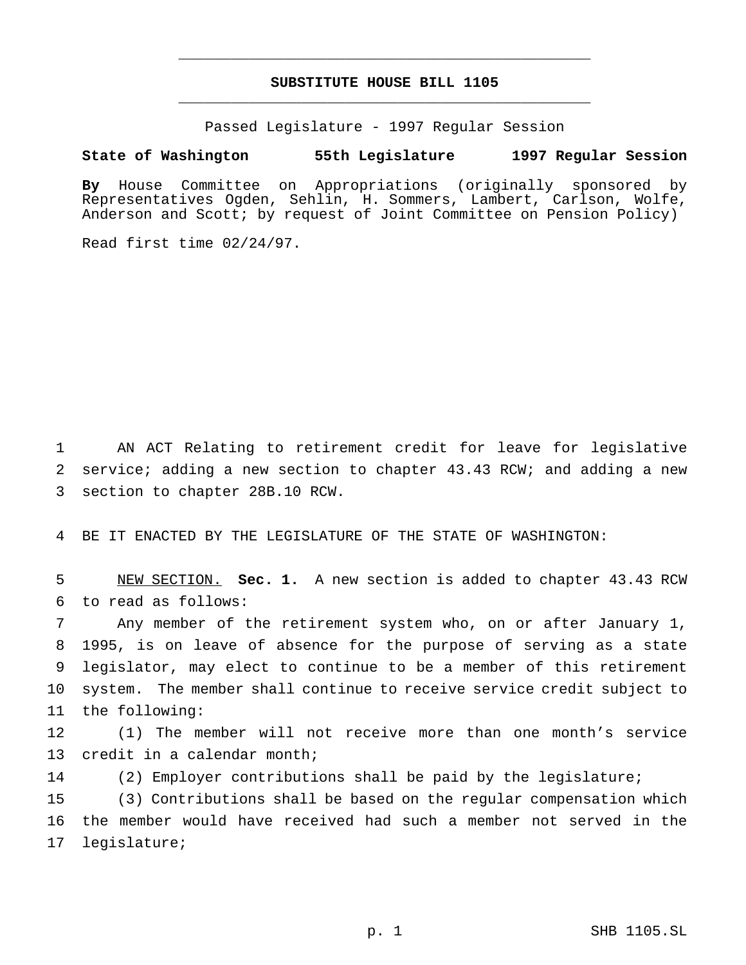# **SUBSTITUTE HOUSE BILL 1105** \_\_\_\_\_\_\_\_\_\_\_\_\_\_\_\_\_\_\_\_\_\_\_\_\_\_\_\_\_\_\_\_\_\_\_\_\_\_\_\_\_\_\_\_\_\_\_

\_\_\_\_\_\_\_\_\_\_\_\_\_\_\_\_\_\_\_\_\_\_\_\_\_\_\_\_\_\_\_\_\_\_\_\_\_\_\_\_\_\_\_\_\_\_\_

Passed Legislature - 1997 Regular Session

## **State of Washington 55th Legislature 1997 Regular Session**

**By** House Committee on Appropriations (originally sponsored by Representatives Ogden, Sehlin, H. Sommers, Lambert, Carlson, Wolfe, Anderson and Scott; by request of Joint Committee on Pension Policy)

Read first time 02/24/97.

 AN ACT Relating to retirement credit for leave for legislative service; adding a new section to chapter 43.43 RCW; and adding a new section to chapter 28B.10 RCW.

BE IT ENACTED BY THE LEGISLATURE OF THE STATE OF WASHINGTON:

 NEW SECTION. **Sec. 1.** A new section is added to chapter 43.43 RCW to read as follows:

 Any member of the retirement system who, on or after January 1, 1995, is on leave of absence for the purpose of serving as a state legislator, may elect to continue to be a member of this retirement system. The member shall continue to receive service credit subject to the following:

 (1) The member will not receive more than one month's service credit in a calendar month;

(2) Employer contributions shall be paid by the legislature;

 (3) Contributions shall be based on the regular compensation which the member would have received had such a member not served in the legislature;